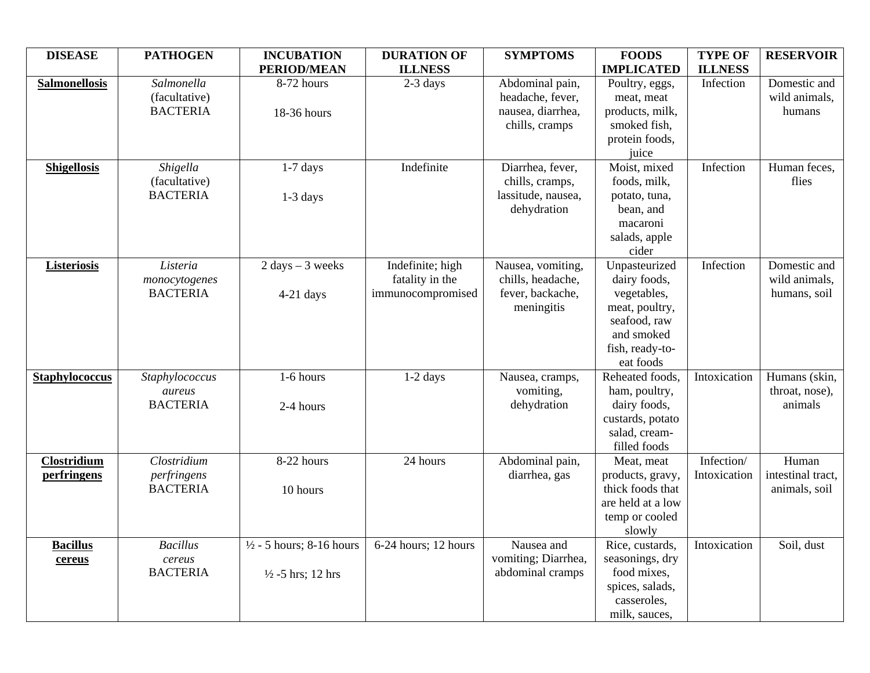| <b>DISEASE</b>             | <b>PATHOGEN</b>                                | <b>INCUBATION</b><br><b>PERIOD/MEAN</b>                             | <b>DURATION OF</b><br><b>ILLNESS</b>                     | <b>SYMPTOMS</b>                                                            | <b>FOODS</b><br><b>IMPLICATED</b>                                                                                            | <b>TYPE OF</b><br><b>ILLNESS</b> | <b>RESERVOIR</b>                              |
|----------------------------|------------------------------------------------|---------------------------------------------------------------------|----------------------------------------------------------|----------------------------------------------------------------------------|------------------------------------------------------------------------------------------------------------------------------|----------------------------------|-----------------------------------------------|
| <b>Salmonellosis</b>       | Salmonella<br>(facultative)<br><b>BACTERIA</b> | 8-72 hours<br>18-36 hours                                           | $2-3$ days                                               | Abdominal pain,<br>headache, fever,<br>nausea, diarrhea,<br>chills, cramps | Poultry, eggs,<br>meat, meat<br>products, milk,<br>smoked fish,<br>protein foods,<br>juice                                   | Infection                        | Domestic and<br>wild animals,<br>humans       |
| <b>Shigellosis</b>         | Shigella<br>(facultative)<br><b>BACTERIA</b>   | $1-7$ days<br>$1-3$ days                                            | Indefinite                                               | Diarrhea, fever,<br>chills, cramps,<br>lassitude, nausea,<br>dehydration   | Moist, mixed<br>foods, milk,<br>potato, tuna,<br>bean, and<br>macaroni<br>salads, apple<br>cider                             | Infection                        | Human feces,<br>flies                         |
| <b>Listeriosis</b>         | Listeria<br>monocytogenes<br><b>BACTERIA</b>   | $2 \text{ days} - 3 \text{ weeks}$<br>$4-21$ days                   | Indefinite; high<br>fatality in the<br>immunocompromised | Nausea, vomiting,<br>chills, headache,<br>fever, backache,<br>meningitis   | Unpasteurized<br>dairy foods,<br>vegetables,<br>meat, poultry,<br>seafood, raw<br>and smoked<br>fish, ready-to-<br>eat foods | Infection                        | Domestic and<br>wild animals,<br>humans, soil |
| <b>Staphylococcus</b>      | Staphylococcus<br>aureus<br><b>BACTERIA</b>    | 1-6 hours<br>2-4 hours                                              | $1-2$ days                                               | Nausea, cramps,<br>vomiting,<br>dehydration                                | Reheated foods,<br>ham, poultry,<br>dairy foods,<br>custards, potato<br>salad, cream-<br>filled foods                        | Intoxication                     | Humans (skin,<br>throat, nose),<br>animals    |
| Clostridium<br>perfringens | Clostridium<br>perfringens<br><b>BACTERIA</b>  | 8-22 hours<br>10 hours                                              | 24 hours                                                 | Abdominal pain,<br>diarrhea, gas                                           | Meat, meat<br>products, gravy,<br>thick foods that<br>are held at a low<br>temp or cooled<br>slowly                          | Infection/<br>Intoxication       | Human<br>intestinal tract,<br>animals, soil   |
| <b>Bacillus</b><br>cereus  | <b>Bacillus</b><br>cereus<br><b>BACTERIA</b>   | $\frac{1}{2}$ - 5 hours; 8-16 hours<br>$\frac{1}{2}$ -5 hrs; 12 hrs | 6-24 hours; 12 hours                                     | Nausea and<br>vomiting; Diarrhea,<br>abdominal cramps                      | Rice, custards,<br>seasonings, dry<br>food mixes,<br>spices, salads,<br>casseroles,<br>milk, sauces,                         | Intoxication                     | Soil, dust                                    |